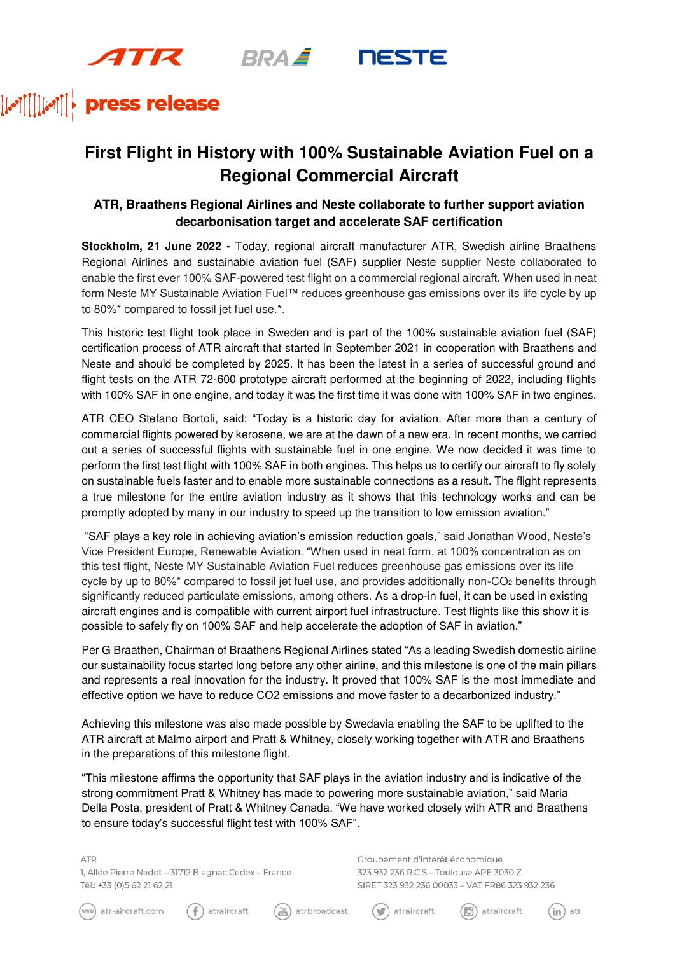$4\pi R$ **BRAZ** 



### press release  $[[\cdot \cdot \cdot \cdot]]][\cdot \cdot \cdot \cdot$

## **First Flight in History with 100% Sustainable Aviation Fuel on a Regional Commercial Aircraft**

### **ATR, Braathens Regional Airlines and Neste collaborate to further support aviation decarbonisation target and accelerate SAF certification**

**Stockholm, 21 June 2022 -** Today, regional aircraft manufacturer ATR, Swedish airline Braathens Regional Airlines and sustainable aviation fuel (SAF) supplier Neste supplier Neste collaborated to enable the first ever 100% SAF-powered test flight on a commercial regional aircraft. When used in neat form Neste MY Sustainable Aviation Fuel™ reduces greenhouse gas emissions over its life cycle by up to 80%\* compared to fossil jet fuel use.\*.

This historic test flight took place in Sweden and is part of the 100% sustainable aviation fuel (SAF) certification process of ATR aircraft that started in September 2021 in cooperation with Braathens and Neste and should be completed by 2025. It has been the latest in a series of successful ground and flight tests on the ATR 72-600 prototype aircraft performed at the beginning of 2022, including flights with 100% SAF in one engine, and today it was the first time it was done with 100% SAF in two engines.

ATR CEO Stefano Bortoli, said: "Today is a historic day for aviation. After more than a century of commercial flights powered by kerosene, we are at the dawn of a new era. In recent months, we carried out a series of successful flights with sustainable fuel in one engine. We now decided it was time to perform the first test flight with 100% SAF in both engines. This helps us to certify our aircraft to fly solely on sustainable fuels faster and to enable more sustainable connections as a result. The flight represents a true milestone for the entire aviation industry as it shows that this technology works and can be promptly adopted by many in our industry to speed up the transition to low emission aviation."

"SAF plays a key role in achieving aviation's emission reduction goals," said Jonathan Wood, Neste's Vice President Europe, Renewable Aviation. "When used in neat form, at 100% concentration as on this test flight, Neste MY Sustainable Aviation Fuel reduces greenhouse gas emissions over its life cycle by up to 80%\* compared to fossil jet fuel use, and provides additionally non- $CO<sub>2</sub>$  benefits through significantly reduced particulate emissions, among others. As a drop-in fuel, it can be used in existing aircraft engines and is compatible with current airport fuel infrastructure. Test flights like this show it is possible to safely fly on 100% SAF and help accelerate the adoption of SAF in aviation."

Per G Braathen, Chairman of Braathens Regional Airlines stated "As a leading Swedish domestic airline our sustainability focus started long before any other airline, and this milestone is one of the main pillars and represents a real innovation for the industry. It proved that 100% SAF is the most immediate and effective option we have to reduce CO2 emissions and move faster to a decarbonized industry."

Achieving this milestone was also made possible by Swedavia enabling the SAF to be uplifted to the ATR aircraft at Malmo airport and Pratt & Whitney, closely working together with ATR and Braathens in the preparations of this milestone flight.

"This milestone affirms the opportunity that SAF plays in the aviation industry and is indicative of the strong commitment Pratt & Whitney has made to powering more sustainable aviation," said Maria Della Posta, president of Pratt & Whitney Canada. "We have worked closely with ATR and Braathens to ensure today's successful flight test with 100% SAF".

**ATR** 

1, Allée Pierre Nadot - 31712 Blagnac Cedex - France Tél.: +33 (0)5 62 21 62 21

Groupement d'intérêt économique 323 932 236 R.C.S - Toulouse APE 3030 Z SIRET 323 932 236 00033 - VAT FR86 323 932 236